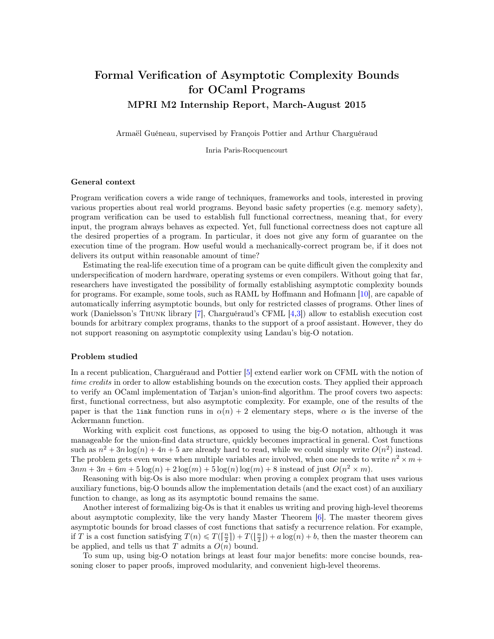# Formal Verification of Asymptotic Complexity Bounds for OCaml Programs MPRI M2 Internship Report, March-August 2015

Armaël Guéneau, supervised by François Pottier and Arthur Charguéraud

Inria Paris-Rocquencourt

# General context

Program verification covers a wide range of techniques, frameworks and tools, interested in proving various properties about real world programs. Beyond basic safety properties (e.g. memory safety), program verification can be used to establish full functional correctness, meaning that, for every input, the program always behaves as expected. Yet, full functional correctness does not capture all the desired properties of a program. In particular, it does not give any form of guarantee on the execution time of the program. How useful would a mechanically-correct program be, if it does not delivers its output within reasonable amount of time?

Estimating the real-life execution time of a program can be quite difficult given the complexity and underspecification of modern hardware, operating systems or even compilers. Without going that far, researchers have investigated the possibility of formally establishing asymptotic complexity bounds for programs. For example, some tools, such as RAML by Hoffmann and Hofmann [\[10\]](#page-20-0), are capable of automatically inferring asymptotic bounds, but only for restricted classes of programs. Other lines of work (Danielsson's Thunk library [\[7\]](#page-20-1), Charguéraud's CFML [\[4,](#page-20-2)[3\]](#page-20-3)) allow to establish execution cost bounds for arbitrary complex programs, thanks to the support of a proof assistant. However, they do not support reasoning on asymptotic complexity using Landau's big-O notation.

#### Problem studied

In a recent publication, Charguéraud and Pottier [\[5\]](#page-20-4) extend earlier work on CFML with the notion of time credits in order to allow establishing bounds on the execution costs. They applied their approach to verify an OCaml implementation of Tarjan's union-find algorithm. The proof covers two aspects: first, functional correctness, but also asymptotic complexity. For example, one of the results of the paper is that the link function runs in  $\alpha(n) + 2$  elementary steps, where  $\alpha$  is the inverse of the Ackermann function.

Working with explicit cost functions, as opposed to using the big-O notation, although it was manageable for the union-find data structure, quickly becomes impractical in general. Cost functions such as  $n^2 + 3n \log(n) + 4n + 5$  are already hard to read, while we could simply write  $O(n^2)$  instead. The problem gets even worse when multiple variables are involved, when one needs to write  $n^2 \times m$  +  $3nm + 3n + 6m + 5\log(n) + 2\log(m) + 5\log(n)\log(m) + 8$  instead of just  $O(n^2 \times m)$ .

Reasoning with big-Os is also more modular: when proving a complex program that uses various auxiliary functions, big-O bounds allow the implementation details (and the exact cost) of an auxiliary function to change, as long as its asymptotic bound remains the same.

Another interest of formalizing big-Os is that it enables us writing and proving high-level theorems about asymptotic complexity, like the very handy Master Theorem [\[6\]](#page-20-5). The master theorem gives asymptotic bounds for broad classes of cost functions that satisfy a recurrence relation. For example, if T is a cost function satisfying  $T(n) \leq T(\frac{n}{2}) + T(\frac{n}{2}) + a \log(n) + b$ , then the master theorem can be applied, and tells us that  $T$  admits a  $O(n)$  bound.

To sum up, using big-O notation brings at least four major benefits: more concise bounds, reasoning closer to paper proofs, improved modularity, and convenient high-level theorems.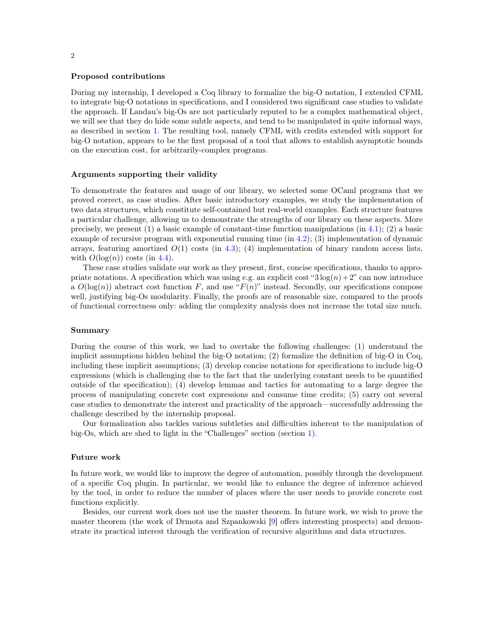#### Proposed contributions

During my internship, I developed a Coq library to formalize the big-O notation, I extended CFML to integrate big-O notations in specifications, and I considered two significant case studies to validate the approach. If Landau's big-Os are not particularly reputed to be a complex mathematical object, we will see that they do hide some subtle aspects, and tend to be manipulated in quite informal ways, as described in section [1.](#page-2-0) The resulting tool, namely CFML with credits extended with support for big-O notation, appears to be the first proposal of a tool that allows to establish asymptotic bounds on the execution cost, for arbitrarily-complex programs.

#### Arguments supporting their validity

To demonstrate the features and usage of our library, we selected some OCaml programs that we proved correct, as case studies. After basic introductory examples, we study the implementation of two data structures, which constitute self-contained but real-world examples. Each structure features a particular challenge, allowing us to demonstrate the strengths of our library on these aspects. More precisely, we present (1) a basic example of constant-time function manipulations (in [4.1\)](#page-10-0); (2) a basic example of recursive program with exponential running time (in [4.2\)](#page-10-1); (3) implementation of dynamic arrays, featuring amortized  $O(1)$  costs (in [4.3\)](#page-12-0); (4) implementation of binary random access lists, with  $O(\log(n))$  costs (in [4.4\)](#page-12-1).

These case studies validate our work as they present, first, concise specifications, thanks to appropriate notations. A specification which was using e.g. an explicit cost " $3 \log(n) + 2$ " can now introduce a  $O(\log(n))$  abstract cost function F, and use "F(n)" instead. Secondly, our specifications compose well, justifying big-Os modularity. Finally, the proofs are of reasonable size, compared to the proofs of functional correctness only: adding the complexity analysis does not increase the total size much.

#### Summary

During the course of this work, we had to overtake the following challenges: (1) understand the implicit assumptions hidden behind the big-O notation; (2) formalize the definition of big-O in Coq, including these implicit assumptions; (3) develop concise notations for specifications to include big-O expressions (which is challenging due to the fact that the underlying constant needs to be quantified outside of the specification); (4) develop lemmas and tactics for automating to a large degree the process of manipulating concrete cost expressions and consume time credits; (5) carry out several case studies to demonstrate the interest and practicality of the approach—successfully addressing the challenge described by the internship proposal.

Our formalization also tackles various subtleties and difficulties inherent to the manipulation of big-Os, which are shed to light in the "Challenges" section (section [1\)](#page-2-0).

## Future work

In future work, we would like to improve the degree of automation, possibly through the development of a specific Coq plugin. In particular, we would like to enhance the degree of inference achieved by the tool, in order to reduce the number of places where the user needs to provide concrete cost functions explicitly.

Besides, our current work does not use the master theorem. In future work, we wish to prove the master theorem (the work of Drmota and Szpankowski [\[9\]](#page-20-6) offers interesting prospects) and demonstrate its practical interest through the verification of recursive algorithms and data structures.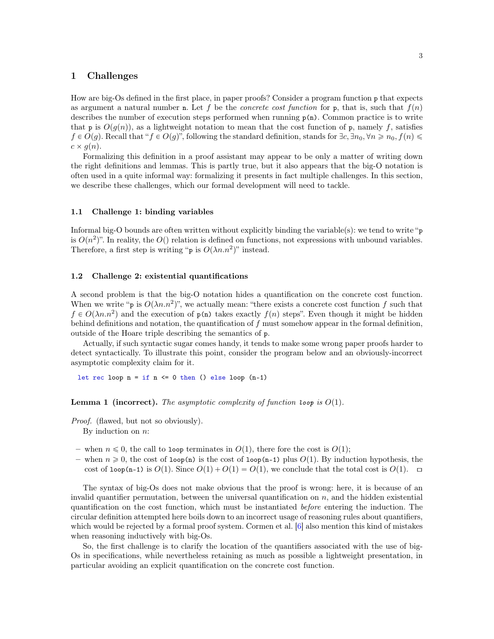# <span id="page-2-0"></span>1 Challenges

How are big-Os defined in the first place, in paper proofs? Consider a program function p that expects as argument a natural number n. Let f be the *concrete cost function* for p, that is, such that  $f(n)$ describes the number of execution steps performed when running  $p(n)$ . Common practice is to write that p is  $O(g(n))$ , as a lightweight notation to mean that the cost function of p, namely f, satisfies  $f \in O(g)$ . Recall that " $f \in O(g)$ ", following the standard definition, stands for  $\exists c, \exists n_0, \forall n \geq n_0, f(n) \leq$  $c \times g(n)$ .

Formalizing this definition in a proof assistant may appear to be only a matter of writing down the right definitions and lemmas. This is partly true, but it also appears that the big-O notation is often used in a quite informal way: formalizing it presents in fact multiple challenges. In this section, we describe these challenges, which our formal development will need to tackle.

#### 1.1 Challenge 1: binding variables

Informal big-O bounds are often written without explicitly binding the variable(s): we tend to write " p is  $O(n^2)$ ". In reality, the  $O($ ) relation is defined on functions, not expressions with unbound variables. Therefore, a first step is writing "p is  $O(\lambda n.n^2)$ " instead.

#### 1.2 Challenge 2: existential quantifications

A second problem is that the big-O notation hides a quantification on the concrete cost function. When we write "p is  $O(\lambda n.n^2)$ ", we actually mean: "there exists a concrete cost function f such that  $f \in O(\lambda n.n^2)$  and the execution of  $p(n)$  takes exactly  $f(n)$  steps". Even though it might be hidden behind definitions and notation, the quantification of  $f$  must somehow appear in the formal definition, outside of the Hoare triple describing the semantics of p.

Actually, if such syntactic sugar comes handy, it tends to make some wrong paper proofs harder to detect syntactically. To illustrate this point, consider the program below and an obviously-incorrect asymptotic complexity claim for it.

let rec loop  $n = if n \le 0 then$  () else loop  $(n-1)$ 

**Lemma 1 (incorrect).** The asymptotic complexity of function loop is  $O(1)$ .

Proof. (flawed, but not so obviously). By induction on  $n$ :

- when  $n \leq 0$ , the call to loop terminates in  $O(1)$ , there fore the cost is  $O(1)$ ;
- when  $n \geq 0$ , the cost of loop(n) is the cost of loop(n-1) plus  $O(1)$ . By induction hypothesis, the cost of  $\text{loop}(n-1)$  is  $O(1)$ . Since  $O(1) + O(1) = O(1)$ , we conclude that the total cost is  $O(1)$ .  $\Box$

The syntax of big-Os does not make obvious that the proof is wrong: here, it is because of an invalid quantifier permutation, between the universal quantification on  $n$ , and the hidden existential quantification on the cost function, which must be instantiated before entering the induction. The circular definition attempted here boils down to an incorrect usage of reasoning rules about quantifiers, which would be rejected by a formal proof system. Cormen et al. [\[6\]](#page-20-5) also mention this kind of mistakes when reasoning inductively with big-Os.

So, the first challenge is to clarify the location of the quantifiers associated with the use of big-Os in specifications, while nevertheless retaining as much as possible a lightweight presentation, in particular avoiding an explicit quantification on the concrete cost function.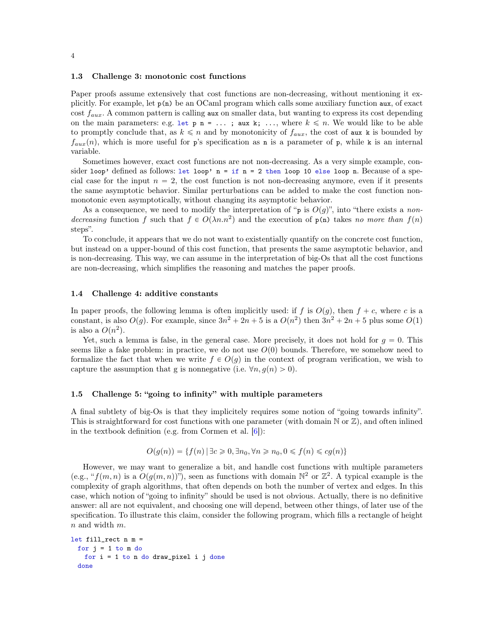#### <span id="page-3-0"></span>1.3 Challenge 3: monotonic cost functions

Paper proofs assume extensively that cost functions are non-decreasing, without mentioning it explicitly. For example, let p(n) be an OCaml program which calls some auxiliary function aux, of exact cost  $f_{aux}$ . A common pattern is calling aux on smaller data, but wanting to express its cost depending on the main parameters: e.g. let  $p \nvert n = \ldots$ ; aux k; ..., where  $k \leq n$ . We would like to be able to promptly conclude that, as  $k \leq n$  and by monotonicity of  $f_{aux}$ , the cost of aux k is bounded by  $f_{aux}(n)$ , which is more useful for p's specification as n is a parameter of p, while k is an internal variable.

Sometimes however, exact cost functions are not non-decreasing. As a very simple example, consider loop' defined as follows: let loop'  $n = if n = 2 then loop 10 else loop n. Because of a spe$ cial case for the input  $n = 2$ , the cost function is not non-decreasing anymore, even if it presents the same asymptotic behavior. Similar perturbations can be added to make the cost function nonmonotonic even asymptotically, without changing its asymptotic behavior.

As a consequence, we need to modify the interpretation of "p is  $O(q)$ ", into "there exists a nondecreasing function f such that  $f \in O(\lambda n.n^2)$  and the execution of  $p(n)$  takes no more than  $f(n)$ steps".

To conclude, it appears that we do not want to existentially quantify on the concrete cost function, but instead on a upper-bound of this cost function, that presents the same asymptotic behavior, and is non-decreasing. This way, we can assume in the interpretation of big-Os that all the cost functions are non-decreasing, which simplifies the reasoning and matches the paper proofs.

#### <span id="page-3-1"></span>1.4 Challenge 4: additive constants

In paper proofs, the following lemma is often implicitly used: if f is  $O(g)$ , then  $f + c$ , where c is a constant, is also  $O(g)$ . For example, since  $3n^2 + 2n + 5$  is a  $O(n^2)$  then  $3n^2 + 2n + 5$  plus some  $O(1)$ is also a  $O(n^2)$ .

Yet, such a lemma is false, in the general case. More precisely, it does not hold for  $g = 0$ . This seems like a fake problem: in practice, we do not use  $O(0)$  bounds. Therefore, we somehow need to formalize the fact that when we write  $f \in O(g)$  in the context of program verification, we wish to capture the assumption that g is nonnegative (i.e.  $\forall n, g(n) > 0$ ).

# <span id="page-3-2"></span>1.5 Challenge 5: "going to infinity" with multiple parameters

A final subtlety of big-Os is that they implicitely requires some notion of "going towards infinity". This is straightforward for cost functions with one parameter (with domain  $\mathbb N$  or  $\mathbb Z$ ), and often inlined in the textbook definition (e.g. from Cormen et al.  $|6|$ ):

$$
O(g(n)) = \{ f(n) | \exists c \geq 0, \exists n_0, \forall n \geq n_0, 0 \leq f(n) \leq cg(n) \}
$$

However, we may want to generalize a bit, and handle cost functions with multiple parameters (e.g., " $f(m, n)$  is a  $O(g(m, n))$ "), seen as functions with domain  $\mathbb{N}^2$  or  $\mathbb{Z}^2$ . A typical example is the complexity of graph algorithms, that often depends on both the number of vertex and edges. In this case, which notion of "going to infinity" should be used is not obvious. Actually, there is no definitive answer: all are not equivalent, and choosing one will depend, between other things, of later use of the specification. To illustrate this claim, consider the following program, which fills a rectangle of height  $n$  and width  $m$ .

```
let fill_rect n m =
 for j = 1 to m do
   for i = 1 to n do draw_pixel i j done
 done
```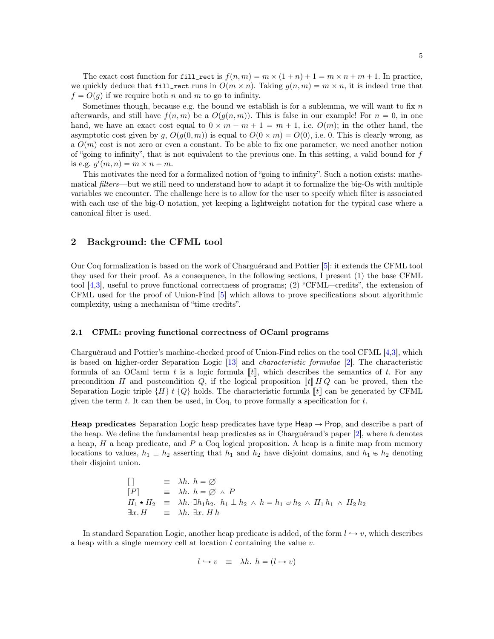The exact cost function for fill\_rect is  $f(n, m) = m \times (1 + n) + 1 = m \times n + m + 1$ . In practice, we quickly deduce that fill\_rect runs in  $O(m \times n)$ . Taking  $g(n, m) = m \times n$ , it is indeed true that  $f = O(q)$  if we require both n and m to go to infinity.

Sometimes though, because e.g. the bound we establish is for a sublemma, we will want to fix  $n$ afterwards, and still have  $f(n, m)$  be a  $O(g(n, m))$ . This is false in our example! For  $n = 0$ , in one hand, we have an exact cost equal to  $0 \times m - m + 1 = m + 1$ , i.e.  $O(m)$ ; in the other hand, the asymptotic cost given by g,  $O(q(0, m))$  is equal to  $O(0 \times m) = O(0)$ , i.e. 0. This is clearly wrong, as a  $O(m)$  cost is not zero or even a constant. To be able to fix one parameter, we need another notion of "going to infinity", that is not equivalent to the previous one. In this setting, a valid bound for  $f$ is e.g.  $g'(m, n) = m \times n + m$ .

This motivates the need for a formalized notion of "going to infinity". Such a notion exists: mathematical *filters*—but we still need to understand how to adapt it to formalize the big-Os with multiple variables we encounter. The challenge here is to allow for the user to specify which filter is associated with each use of the big-O notation, yet keeping a lightweight notation for the typical case where a canonical filter is used.

# 2 Background: the CFML tool

Our Coq formalization is based on the work of Charguéraud and Pottier [\[5\]](#page-20-4): it extends the CFML tool they used for their proof. As a consequence, in the following sections, I present (1) the base CFML tool [\[4](#page-20-2)[,3\]](#page-20-3), useful to prove functional correctness of programs; (2) "CFML+credits", the extension of CFML used for the proof of Union-Find [\[5\]](#page-20-4) which allows to prove specifications about algorithmic complexity, using a mechanism of "time credits".

## 2.1 CFML: proving functional correctness of OCaml programs

Charguéraud and Pottier's machine-checked proof of Union-Find relies on the tool CFML [\[4,](#page-20-2)[3\]](#page-20-3), which is based on higher-order Separation Logic [\[13\]](#page-20-7) and characteristic formulae [\[2\]](#page-20-8). The characteristic formula of an OCaml term t is a logic formula  $\llbracket t \rrbracket$ , which describes the semantics of t. For any precondition H and postcondition Q, if the logical proposition  $\llbracket t \rrbracket H Q$  can be proved, then the Separation Logic triple  $\{H\}$  t  $\{Q\}$  holds. The characteristic formula  $\llbracket t \rrbracket$  can be generated by CFML given the term  $t$ . It can then be used, in Coq, to prove formally a specification for  $t$ .

**Heap predicates** Separation Logic heap predicates have type  $\text{Heap}\rightarrow\text{Prop}$ , and describe a part of the heap. We define the fundamental heap predicates as in Charguéraud's paper  $[2]$ , where h denotes a heap,  $H$  a heap predicate, and  $P$  a Coq logical proposition. A heap is a finite map from memory locations to values,  $h_1 \perp h_2$  asserting that  $h_1$  and  $h_2$  have disjoint domains, and  $h_1 \oplus h_2$  denoting their disjoint union.

$$
[ ] \equiv \lambda h. h = \varnothing
$$
  
\n
$$
[ P ] \equiv \lambda h. h = \varnothing \wedge P
$$
  
\n
$$
H_1 \star H_2 \equiv \lambda h. \exists h_1 h_2. h_1 \perp h_2 \wedge h = h_1 \uplus h_2 \wedge H_1 h_1 \wedge H_2 h_2
$$
  
\n
$$
\exists x. H \equiv \lambda h. \exists x. H h
$$

In standard Separation Logic, another heap predicate is added, of the form  $l \to v$ , which describes a heap with a single memory cell at location  $l$  containing the value  $v$ .

$$
l \leftrightarrow v \equiv \lambda h. \ h = (l \leftrightarrow v)
$$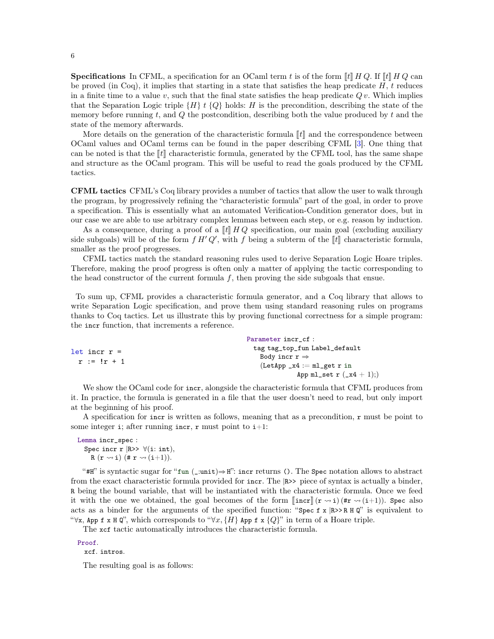**Specifications** In CFML, a specification for an OCaml term t is of the form  $\llbracket t \rrbracket H Q$ . If  $\llbracket t \rrbracket H Q$  can be proved (in Coq), it implies that starting in a state that satisfies the heap predicate  $H$ ,  $t$  reduces in a finite time to a value v, such that the final state satisfies the heap predicate  $Qv$ . Which implies that the Separation Logic triple  $\{H\}$  t  $\{Q\}$  holds: H is the precondition, describing the state of the memory before running  $t$ , and  $Q$  the postcondition, describing both the value produced by  $t$  and the state of the memory afterwards.

More details on the generation of the characteristic formula  $\llbracket t \rrbracket$  and the correspondence between OCaml values and OCaml terms can be found in the paper describing CFML [\[3\]](#page-20-3). One thing that can be noted is that the  $\llbracket t \rrbracket$  characteristic formula, generated by the CFML tool, has the same shape and structure as the OCaml program. This will be useful to read the goals produced by the CFML tactics.

CFML tactics CFML's Coq library provides a number of tactics that allow the user to walk through the program, by progressively refining the "characteristic formula" part of the goal, in order to prove a specification. This is essentially what an automated Verification-Condition generator does, but in our case we are able to use arbitrary complex lemmas between each step, or e.g. reason by induction.

As a consequence, during a proof of a  $[[t]] H Q$  specification, our main goal (excluding auxiliary side subgoals) will be of the form  $f H' Q'$ , with  $f$  being a subterm of the  $[[t]]$  characteristic formula, smaller as the proof progresses.

CFML tactics match the standard reasoning rules used to derive Separation Logic Hoare triples. Therefore, making the proof progress is often only a matter of applying the tactic corresponding to the head constructor of the current formula  $f$ , then proving the side subgoals that ensue.

To sum up, CFML provides a characteristic formula generator, and a Coq library that allows to write Separation Logic specification, and prove them using standard reasoning rules on programs thanks to Coq tactics. Let us illustrate this by proving functional correctness for a simple program: the incr function, that increments a reference.

|                                   | Parameter incr_cf :           |
|-----------------------------------|-------------------------------|
| $let$ incr $r =$<br>$r := !r + 1$ | tag tag_top_fun Label_default |
|                                   | Body incr $r \Rightarrow$     |
|                                   | $(Let App_x4 := m1.get r in$  |
|                                   | App ml_set $r$ $(\_ x4 + 1);$ |

We show the OCaml code for incr, alongside the characteristic formula that CFML produces from it. In practice, the formula is generated in a file that the user doesn't need to read, but only import at the beginning of his proof.

A specification for incr is written as follows, meaning that as a precondition, r must be point to some integer i; after running incr, r must point to  $i+1$ :

Lemma incr\_spec : Spec incr r  $|R>>$   $\forall$  (i: int), R  $(\mathbf{r} \rightsquigarrow \mathbf{i})$   $(\# \mathbf{r} \rightsquigarrow (\mathbf{i}+1)).$ 

"#H" is syntactic sugar for "fun (\_:unit) $\Rightarrow$  H": incr returns (). The Spec notation allows to abstract from the exact characteristic formula provided for incr. The |R>> piece of syntax is actually a binder, R being the bound variable, that will be instantiated with the characteristic formula. Once we feed it with the one we obtained, the goal becomes of the form  $\left[\arctan\left(\frac{x}{r} \rightarrow i\right)\right]$  ( $\arctan\left(\frac{x}{r+1}\right)$ ). Spec also acts as a binder for the arguments of the specified function: "Spec  $f \times R \rightarrow R + Q$ " is equivalent to  $\forall x$ , App f x H Q", which corresponds to  $\forall x, {H}$  App f x  ${Q}$ " in term of a Hoare triple.

The xcf tactic automatically introduces the characteristic formula.

Proof.

xcf. intros.

The resulting goal is as follows: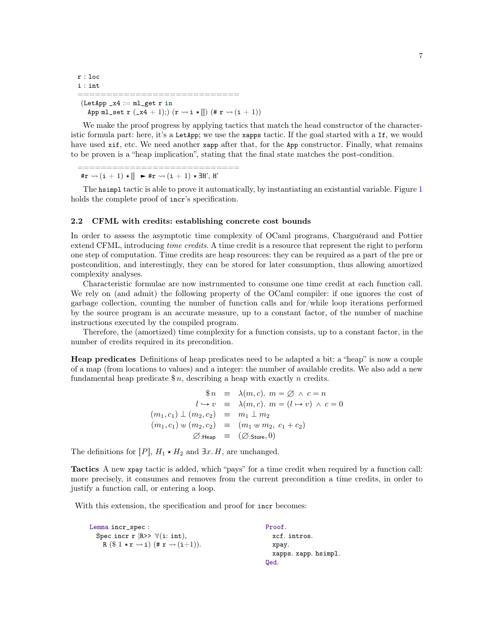```
r : loc
i : int
============================
 (Let App_x4 := ml.get r inApp ml_set r (\mathbf{x}4 + 1); (\mathbf{r} \leadsto i \star ||) (\# \mathbf{r} \leadsto (i + 1))
```
We make the proof progress by applying tactics that match the head constructor of the characteristic formula part: here, it's a LetApp; we use the xapps tactic. If the goal started with a If, we would have used xif, etc. We need another xapp after that, for the App constructor. Finally, what remains to be proven is a "heap implication", stating that the final state matches the post-condition.

=================================== #r  $\rightsquigarrow$   $(i + 1) \star || \blacktriangleright$  #r  $\rightsquigarrow$   $(i + 1) \star \exists H', H'$ 

The hasimpl tactic is able to prove it automatically, by instantiating an existantial variable. Figure [1](#page-21-0) holds the complete proof of incr's specification.

#### 2.2 CFML with credits: establishing concrete cost bounds

In order to assess the asymptotic time complexity of OCaml programs, Charguéraud and Pottier extend CFML, introducing time credits. A time credit is a resource that represent the right to perform one step of computation. Time credits are heap resources: they can be required as a part of the pre or postcondition, and interestingly, they can be stored for later consumption, thus allowing amortized complexity analyses.

Characteristic formulae are now instrumented to consume one time credit at each function call. We rely on (and admit) the following property of the OCaml compiler: if one ignores the cost of garbage collection, counting the number of function calls and for/while loop iterations performed by the source program is an accurate measure, up to a constant factor, of the number of machine instructions executed by the compiled program.

Therefore, the (amortized) time complexity for a function consists, up to a constant factor, in the number of credits required in its precondition.

Heap predicates Definitions of heap predicates need to be adapted a bit: a "heap" is now a couple of a map (from locations to values) and a integer: the number of available credits. We also add a new fundamental heap predicate  $\hat{\mathfrak{s}}_n$ , describing a heap with exactly *n* credits.

$$
\begin{array}{rcl}\n\mathbb{S}n & \equiv & \lambda(m,c). \ m = \varnothing \ \land \ c = n \\
l \hookrightarrow v & \equiv & \lambda(m,c). \ m = (l \mapsto v) \ \land \ c = 0 \\
(m_1, c_1) \perp (m_2, c_2) & \equiv & m_1 \perp m_2 \\
(m_1, c_1) \uplus (m_2, c_2) & \equiv & (m_1 \uplus m_2, c_1 + c_2) \\
\varnothing: \text{Heap} & \equiv & (\varnothing: \text{Store}, 0)\n\end{array}
$$

The definitions for  $[P]$ ,  $H_1 \star H_2$  and  $\exists x. H$ , are unchanged.

Tactics A new xpay tactic is added, which "pays" for a time credit when required by a function call: more precisely, it consumes and removes from the current precondition a time credits, in order to justify a function call, or entering a loop.

With this extension, the specification and proof for incr becomes:

| Lemma incr_spec :                                                  | Proof.               |
|--------------------------------------------------------------------|----------------------|
| Spec incr r $ R>>$ $\forall$ (i: int),                             | xcf. intros.         |
| $R(S1 \star r \rightsquigarrow i)$ $(\#r \rightsquigarrow (i+1)).$ | xpay.                |
|                                                                    | xapps. xapp. hsimpl. |
|                                                                    | Qed.                 |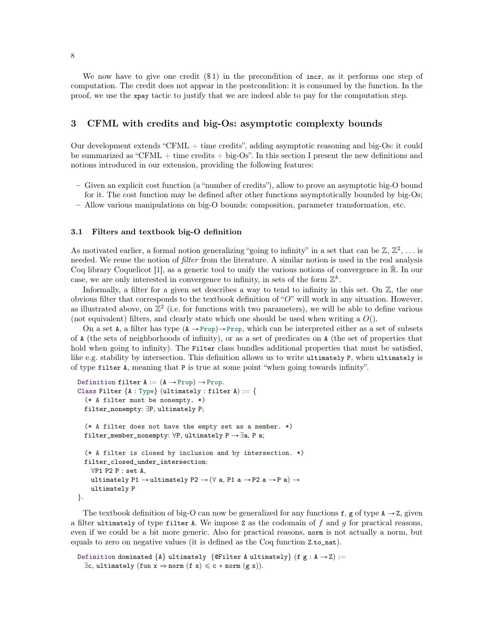We now have to give one credit  $(\$1)$  in the precondition of incr, as it performs one step of computation. The credit does not appear in the postcondition: it is consumed by the function. In the proof, we use the xpay tactic to justify that we are indeed able to pay for the computation step.

# 3 CFML with credits and big-Os: asymptotic complexty bounds

Our development extends "CFML + time credits", adding asymptotic reasoning and big-Os: it could be summarized as "CFML  $+$  time credits  $+$  big-Os". In this section I present the new definitions and notions introduced in our extension, providing the following features:

- Given an explicit cost function (a "number of credits"), allow to prove an asymptotic big-O bound for it. The cost function may be defined after other functions asymptotically bounded by big-Os;
- Allow various manipulations on big-O bounds: composition, parameter transformation, etc.

## <span id="page-7-0"></span>3.1 Filters and textbook big-O definition

As motivated earlier, a formal notion generalizing "going to infinity" in a set that can be  $\mathbb{Z}, \mathbb{Z}^2, \ldots$  is needed. We reuse the notion of *filter* from the literature. A similar notion is used in the real analysis Coq library Coquelicot [\[1\]](#page-20-9), as a generic tool to unify the various notions of convergence in  $\mathbb{R}$ . In our case, we are only interested in convergence to infinity, in sets of the form  $\mathbb{Z}^k$ .

Informally, a filter for a given set describes a way to tend to infinity in this set. On  $\mathbb{Z}$ , the one obvious filter that corresponds to the textbook definition of " $O$ " will work in any situation. However, as illustrated above, on  $\mathbb{Z}^2$  (i.e. for functions with two parameters), we will be able to define various (not equivalent) filters, and clearly state which one should be used when writing a  $O($ ).

On a set A, a filter has type  $(A \rightarrow Prop) \rightarrow Prop$ , which can be interpreted either as a set of subsets of A (the sets of neighborhoods of infinity), or as a set of predicates on A (the set of properties that hold when going to infinity). The Filter class bundles additional properties that must be satisfied, like e.g. stability by intersection. This definition allows us to write ultimately P, when ultimately is of type filter A, meaning that P is true at some point "when going towards infinity".

```
Definition filter A := (A \rightarrow Prop) \rightarrow Prop.Class Filter {A : Type} (ultimately : filter A) := {
  (* A filter must be nonempty. *)
  filter_nonempty: \exists P, ultimately P;
  (* A filter does not have the empty set as a member. *)
  filter_member_nonempty: \forall P, ultimately P \rightarrow \exists a, P a;
  (* A filter is closed by inclusion and by intersection. *)
  filter_closed_under_intersection:
    \forallP1 P2 P : set A,
    ultimately P1 \rightarrow ultimately P2 \rightarrow (\forall a, P1 a \rightarrow P2 a \rightarrow P a) \rightarrowultimately P
}.
```
The textbook definition of big-O can now be generalized for any functions f, g of type  $A \rightarrow Z$ , given a filter ultimately of type filter A. We impose  $Z$  as the codomain of  $f$  and  $g$  for practical reasons, even if we could be a bit more generic. Also for practical reasons, norm is not actually a norm, but equals to zero on negative values (it is defined as the Coq function Z.to\_nat).

```
Definition dominated {A} ultimately {QFinter A ultimately {f g : A \rightarrow Z} :=
  \exists c, \text{ ultimately } (\text{fun } x \Rightarrow \text{norm } (f x) \leqslant c * \text{norm } (g x)).
```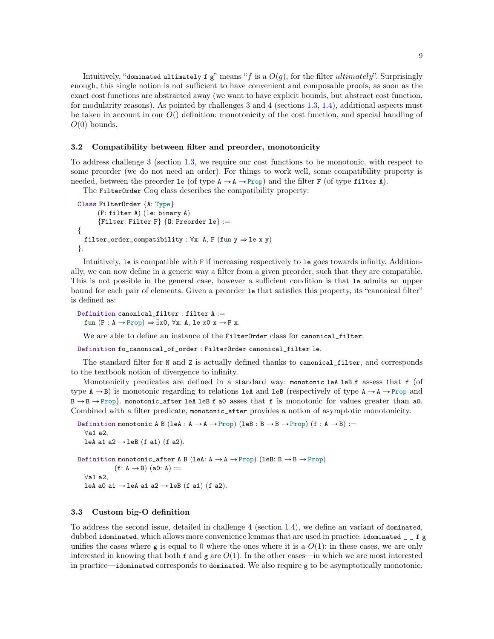Intuitively, "dominated ultimately f g" means "f is a  $O(q)$ , for the filter *ultimately*". Surprisingly enough, this single notion is not sufficient to have convenient and composable proofs, as soon as the exact cost functions are abstracted away (we want to have explicit bounds, but abstract cost function, for modularity reasons). As pointed by challenges 3 and 4 (sections [1.3,](#page-3-0) [1.4\)](#page-3-1), additional aspects must be taken in account in our  $O()$  definition: monotonicity of the cost function, and special handling of  $O(0)$  bounds.

## 3.2 Compatibility between filter and preorder, monotonicity

To address challenge 3 (section [1.3,](#page-3-0) we require our cost functions to be monotonic, with respect to some preorder (we do not need an order). For things to work well, some compatibility property is needed, between the preorder le (of type  $A \rightarrow A \rightarrow Prop$ ) and the filter F (of type filter A).

The FilterOrder Coq class describes the compatibility property:

```
Class FilterOrder {A: Type}
      (F: filter A) (le: binary A)
      {Filter: Filter F} {0: Preorder le} :=
{
 filter_order_compatibility : \forall x: A, F (fun y \Rightarrow le x y)
}.
```
Intuitively, le is compatible with F if increasing respectively to le goes towards infinity. Additionally, we can now define in a generic way a filter from a given preorder, such that they are compatible. This is not possible in the general case, however a sufficient condition is that le admits an upper bound for each pair of elements. Given a preorder le that satisfies this property, its "canonical filter" is defined as:

```
Definition canonical_filter : filter A :=
  fun (P : A \rightarrow Prop) \Rightarrow \exists x0, \forall x: A, le x0 x \rightarrow P x.
```
We are able to define an instance of the FilterOrder class for canonical\_filter.

Definition fo\_canonical\_of\_order : FilterOrder canonical\_filter le.

The standard filter for N and Z is actually defined thanks to canonical filter, and corresponds to the textbook notion of divergence to infinity.

Monotonicity predicates are defined in a standard way: monotonic leA leB f assess that f (of type  $A \rightarrow B$ ) is monotonic regarding to relations leA and leB (respectively of type  $A \rightarrow A \rightarrow$  Prop and  $B \rightarrow B \rightarrow Prop$ ). monotonic\_after leA leB f a0 asses that f is monotonic for values greater than a0. Combined with a filter predicate, monotonic\_after provides a notion of asymptotic monotonicity.

```
Definition monotonic A B (leA : A \rightarrow A \rightarrow Prop) (leB : B \rightarrow B \rightarrow Prop) (f : A \rightarrow B) :=
   \foralla1 a2.
  leA a1 a2 \rightarrow leB (f a1) (f a2).
Definition monotonic_after A B (leA: A \rightarrow A \rightarrow Prop) (leB: B \rightarrow B \rightarrow Prop)
                (f: A \rightarrow B) (a0: A) :=
   \foralla1 a2.
   leA a0 a1 \rightarrow leA a1 a2 \rightarrow leB (f a1) (f a2).
```
#### 3.3 Custom big-O definition

To address the second issue, detailed in challenge 4 (section [1.4\)](#page-3-1), we define an variant of dominated, dubbed idominated, which allows more convenience lemmas that are used in practice. idominated \_ \_ f g unifies the cases where g is equal to 0 where the ones where it is a  $O(1)$ : in these cases, we are only interested in knowing that both f and g are  $O(1)$ . In the other cases—in which we are most interested in practice—idominated corresponds to dominated. We also require g to be asymptotically monotonic.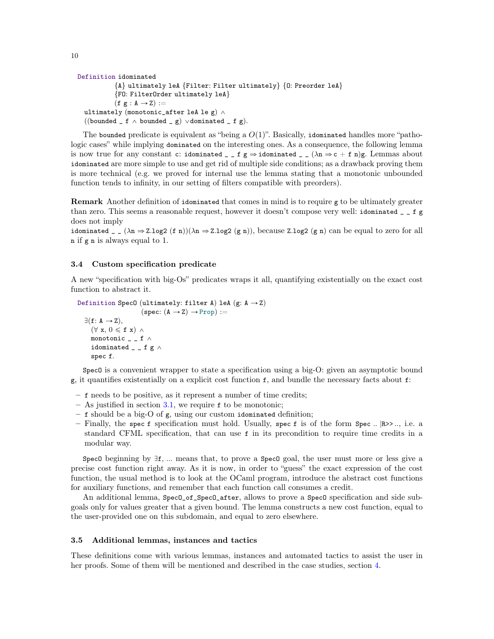```
Definition idominated
           {A} ultimately leA {Filter: Filter ultimately} {O: Preorder leA}
           {FO: FilterOrder ultimately leA}
           (f g : A \rightarrow Z) :=ultimately (monotonic_after leA le g) \wedge((bounded f \wedge bounded g) \vee dominated f g).
```
The bounded predicate is equivalent as "being a  $O(1)$ ". Basically, idominated handles more "pathologic cases" while implying dominated on the interesting ones. As a consequence, the following lemma is now true for any constant c: idominated \_ \_ f g  $\Rightarrow$  idominated \_ \_ ( $\lambda$ n  $\Rightarrow$  c + f n)g. Lemmas about idominated are more simple to use and get rid of multiple side conditions; as a drawback proving them is more technical (e.g. we proved for internal use the lemma stating that a monotonic unbounded function tends to infinity, in our setting of filters compatible with preorders).

Remark Another definition of idominated that comes in mind is to require g to be ultimately greater than zero. This seems a reasonable request, however it doesn't compose very well: idominated \_ \_ f g does not imply

idominated  $_{-}$  ( $\lambda$ n  $\Rightarrow$  Z.log2 (f n))( $\lambda$ n  $\Rightarrow$  Z.log2 (g n)), because Z.log2 (g n) can be equal to zero for all n if g n is always equal to 1.

# 3.4 Custom specification predicate

A new "specification with big-Os" predicates wraps it all, quantifying existentially on the exact cost function to abstract it.

```
Definition SpecO (ultimately: filter A) leA (g: A \rightarrow Z)
                            (spec: (A \rightarrow Z) \rightarrow Prop) :=\exists(f: A \rightarrow Z),
     (\forall x, 0 \leqslant f x) \landmonotonic _{-} _{-} f \wedgeidominated _ _ _ f g \wedgespec f.
```
SpecO is a convenient wrapper to state a specification using a big-O: given an asymptotic bound g, it quantifies existentially on a explicit cost function f, and bundle the necessary facts about f:

- f needs to be positive, as it represent a number of time credits;
- As justified in section [3.1,](#page-7-0) we require f to be monotonic;
- f should be a big-O of g, using our custom idominated definition;
- Finally, the spec f specification must hold. Usually, spec f is of the form Spec ..  $\mathbb{R}$ ison, i.e. a standard CFML specification, that can use f in its precondition to require time credits in a modular way.

Spec0 beginning by  $\exists f, \dots$  means that, to prove a Spec0 goal, the user must more or less give a precise cost function right away. As it is now, in order to "guess" the exact expression of the cost function, the usual method is to look at the OCaml program, introduce the abstract cost functions for auxiliary functions, and remember that each function call consumes a credit.

An additional lemma, Spec<sub>0</sub>\_of\_Spec<sub>0</sub>\_after, allows to prove a Spec<sub>0</sub> specification and side subgoals only for values greater that a given bound. The lemma constructs a new cost function, equal to the user-provided one on this subdomain, and equal to zero elsewhere.

## 3.5 Additional lemmas, instances and tactics

These definitions come with various lemmas, instances and automated tactics to assist the user in her proofs. Some of them will be mentioned and described in the case studies, section [4.](#page-10-2)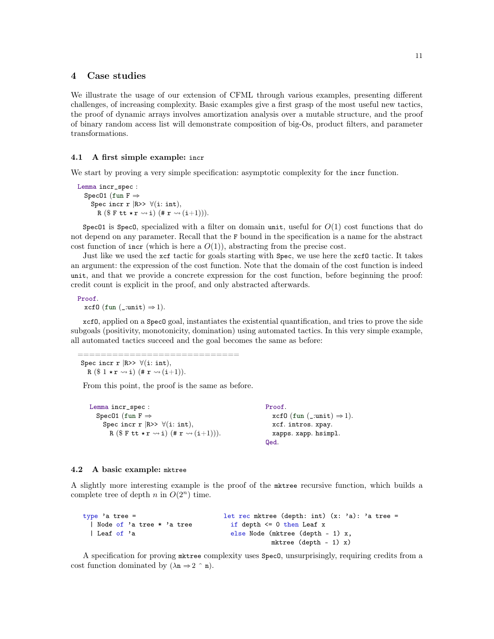# <span id="page-10-2"></span>4 Case studies

We illustrate the usage of our extension of CFML through various examples, presenting different challenges, of increasing complexity. Basic examples give a first grasp of the most useful new tactics, the proof of dynamic arrays involves amortization analysis over a mutable structure, and the proof of binary random access list will demonstrate composition of big-Os, product filters, and parameter transformations.

#### <span id="page-10-0"></span>4.1 A first simple example: incr

We start by proving a very simple specification: asymptotic complexity for the incr function.

Lemma incr\_spec : Spec01 (fun  $F \Rightarrow$ Spec incr r  $|R>>$   $\forall$ (i: int), R ( $\$$  F tt  $\star$  r  $\rightsquigarrow$  i) (# r  $\rightsquigarrow$  (i+1))).

Spec01 is Spec0, specialized with a filter on domain unit, useful for  $O(1)$  cost functions that do not depend on any parameter. Recall that the F bound in the specification is a name for the abstract cost function of incr (which is here a  $O(1)$ ), abstracting from the precise cost.

Just like we used the xcf tactic for goals starting with Spec, we use here the xcfO tactic. It takes an argument: the expression of the cost function. Note that the domain of the cost function is indeed unit, and that we provide a concrete expression for the cost function, before beginning the proof: credit count is explicit in the proof, and only abstracted afterwards.

Proof.

xcf0 (fun (\_:unit)  $\Rightarrow$  1).

xcfO, applied on a SpecO goal, instantiates the existential quantification, and tries to prove the side subgoals (positivity, monotonicity, domination) using automated tactics. In this very simple example, all automated tactics succeed and the goal becomes the same as before:

============================ Spec incr r  $|R>>$   $\forall$ (i: int), R  $(\$ 1 \star r \rightsquigarrow i)$   $(\# r \rightsquigarrow (i+1)).$ 

From this point, the proof is the same as before.

| Lemma incr_spec :                                                                   | Proof.                                 |
|-------------------------------------------------------------------------------------|----------------------------------------|
| Spec01 (fun F $\Rightarrow$                                                         | $xcf0$ (fun (_:unit) $\Rightarrow$ 1). |
| Spec incr r $ R>>$ $\forall$ (i: int),                                              | xcf. intros. xpay.                     |
| R ( $\text{\$F~tt~t~r~\rightsquigarrow i)$ (# $\text{r} \rightsquigarrow (i+1))$ ). | xapps. xapp. hsimpl.                   |
|                                                                                     | Qed.                                   |

#### <span id="page-10-1"></span>4.2 A basic example: mktree

A slightly more interesting example is the proof of the mktree recursive function, which builds a complete tree of depth  $n$  in  $O(2<sup>n</sup>)$  time.

```
type 'a tree =
  | Node of 'a tree * 'a tree
  | Leaf of 'a
                                      let rec mktree (depth: int) (x: 'a): 'a tree =
                                        if depth \leq 0 then Leaf x
                                        else Node (mktree (depth - 1) x,
                                                   mktree (depth - 1) x)
```
A specification for proving mktree complexity uses SpecO, unsurprisingly, requiring credits from a cost function dominated by  $(\lambda n \Rightarrow 2^{\hat{}} n)$ .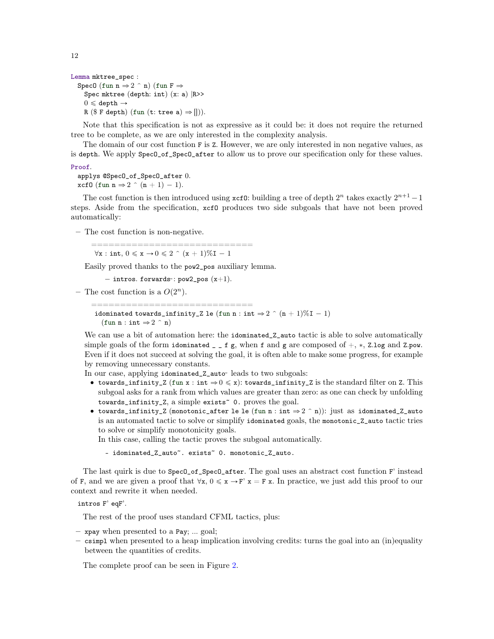```
Lemma mktree_spec :
  Spec0 (fun n \Rightarrow 2 ^{\circ} n) (fun F \RightarrowSpec mktree (depth: int) (x: a) |R>0 \leqslant depth \rightarrowR (\$ F depth) (fun (t: tree a) \Rightarrow [])).
```
Note that this specification is not as expressive as it could be: it does not require the returned tree to be complete, as we are only interested in the complexity analysis.

The domain of our cost function F is Z. However, we are only interested in non negative values, as is depth. We apply SpecO\_of\_SpecO\_after to allow us to prove our specification only for these values.

#### Proof.

### applys @SpecO\_of\_SpecO\_after 0. xcf0 (fun  $n \Rightarrow 2 \hat{ } (n + 1) - 1$ ).

The cost function is then introduced using  $\mathbf{xcf0}$ : building a tree of depth  $2^n$  takes exactly  $2^{n+1} - 1$ steps. Aside from the specification, xcfO produces two side subgoals that have not been proved automatically:

– The cost function is non-negative.

============================  $\forall x : \text{int}, 0 \leq x \rightarrow 0 \leq 2 \land (x + 1)\%I - 1$ 

Easily proved thanks to the pow2\_pos auxiliary lemma.

 $-$  intros. forwards $\cdot$ : pow2\_pos  $(x+1).$ 

- The cost function is a  $O(2^n)$ .

============================ idominated towards\_infinity\_Z le (fun n : int  $\Rightarrow$  2 ^ (n + 1)%I - 1) (fun n : int  $\Rightarrow$  2  $\hat{ }$  n)

We can use a bit of automation here: the idominated\_Z\_auto tactic is able to solve automatically simple goals of the form idominated  $\overline{z}$  = f g, when f and g are composed of  $+$ ,  $*$ , Z.log and Z.pow. Even if it does not succeed at solving the goal, it is often able to make some progress, for example by removing unnecessary constants.

In our case, applying idominated\_Z\_auto˜ leads to two subgoals:

- towards\_infinity\_Z (fun x : int  $\Rightarrow 0 \le x$ ): towards\_infinity\_Z is the standard filter on Z. This subgoal asks for a rank from which values are greater than zero: as one can check by unfolding towards\_infinity\_Z, a simple exists~ 0. proves the goal.
- towards\_infinity\_Z (monotonic\_after le le (fun n : int  $\Rightarrow$  2 ^ n)): just as idominated\_Z\_auto is an automated tactic to solve or simplify idominated goals, the monotonic\_Z\_auto tactic tries to solve or simplify monotonicity goals.

In this case, calling the tactic proves the subgoal automatically.

```
- idominated_Z_auto<sup>~</sup>. exists<sup>~</sup> 0. monotonic_Z_auto.
```
The last quirk is due to SpecO\_of\_SpecO\_after. The goal uses an abstract cost function F' instead of F, and we are given a proof that  $\forall x, 0 \leq x \rightarrow F' x = F x$ . In practice, we just add this proof to our context and rewrite it when needed.

intros F' eqF'.

The rest of the proof uses standard CFML tactics, plus:

- xpay when presented to a Pay; ... goal;
- csimpl when presented to a heap implication involving credits: turns the goal into an (in)equality between the quantities of credits.

The complete proof can be seen in Figure [2.](#page-21-1)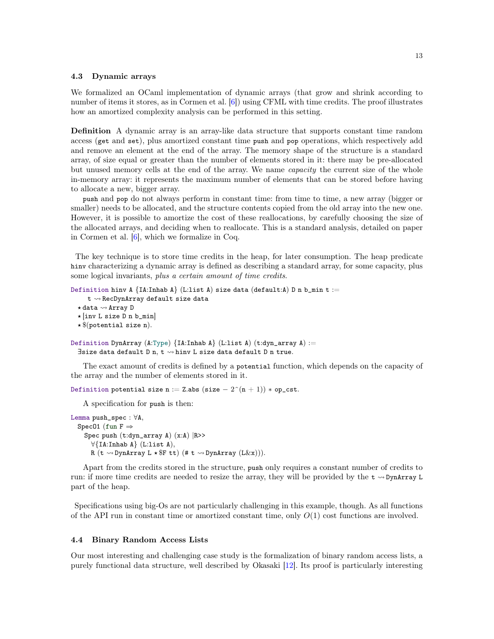#### <span id="page-12-0"></span>4.3 Dynamic arrays

We formalized an OCaml implementation of dynamic arrays (that grow and shrink according to number of items it stores, as in Cormen et al. [\[6\]](#page-20-5)) using CFML with time credits. The proof illustrates how an amortized complexity analysis can be performed in this setting.

**Definition** A dynamic array is an array-like data structure that supports constant time random access (get and set), plus amortized constant time push and pop operations, which respectively add and remove an element at the end of the array. The memory shape of the structure is a standard array, of size equal or greater than the number of elements stored in it: there may be pre-allocated but unused memory cells at the end of the array. We name capacity the current size of the whole in-memory array: it represents the maximum number of elements that can be stored before having to allocate a new, bigger array.

push and pop do not always perform in constant time: from time to time, a new array (bigger or smaller) needs to be allocated, and the structure contents copied from the old array into the new one. However, it is possible to amortize the cost of these reallocations, by carefully choosing the size of the allocated arrays, and deciding when to reallocate. This is a standard analysis, detailed on paper in Cormen et al. [\[6\]](#page-20-5), which we formalize in Coq.

The key technique is to store time credits in the heap, for later consumption. The heap predicate hinv characterizing a dynamic array is defined as describing a standard array, for some capacity, plus some logical invariants, plus a certain amount of time credits.

```
Definition hinv A {I.A.}Thab A{I.L.} (L:list A) size data (default:A) D n b_min t :=
     t \rightsquigarrow RecDynArray default size data
  \star data \rightsquigarrow Array D
  \star [inv L size D n b_min]
  \star $(potential size n).
Definition DynArray (A:Type) \{IA:Inhab A\} (L:list A) (t:dyn_array A) :=
```
 $\exists$ size data default D n, t  $\rightsquigarrow$  hinv L size data default D n true.

The exact amount of credits is defined by a potential function, which depends on the capacity of the array and the number of elements stored in it.

Definition potential size n := Z.abs (size  $-2^{(n + 1)}$ ) \* op\_cst.

A specification for push is then:

```
Lemma push_spec : \forall A,
  Spec01 (fun F \RightarrowSpec push (t:dyn_array A) (x:A) |R>>
       \forall{IA:Inhab A} (L:list A),
       R (t \sim DynArray L \star F tt) (# t \sim DynArray (L\&x))).
```
Apart from the credits stored in the structure, push only requires a constant number of credits to run: if more time credits are needed to resize the array, they will be provided by the  $t \sim DynArray L$ part of the heap.

Specifications using big-Os are not particularly challenging in this example, though. As all functions of the API run in constant time or amortized constant time, only  $O(1)$  cost functions are involved.

## <span id="page-12-1"></span>4.4 Binary Random Access Lists

Our most interesting and challenging case study is the formalization of binary random access lists, a purely functional data structure, well described by Okasaki [\[12\]](#page-20-10). Its proof is particularly interesting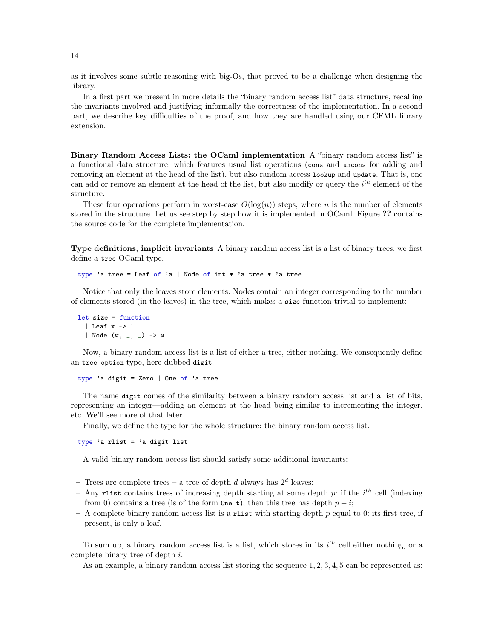as it involves some subtle reasoning with big-Os, that proved to be a challenge when designing the library.

In a first part we present in more details the "binary random access list" data structure, recalling the invariants involved and justifying informally the correctness of the implementation. In a second part, we describe key difficulties of the proof, and how they are handled using our CFML library extension.

Binary Random Access Lists: the OCaml implementation A "binary random access list" is a functional data structure, which features usual list operations (cons and uncons for adding and removing an element at the head of the list), but also random access lookup and update. That is, one can add or remove an element at the head of the list, but also modify or query the  $i^{th}$  element of the structure.

These four operations perform in worst-case  $O(\log(n))$  steps, where *n* is the number of elements stored in the structure. Let us see step by step how it is implemented in OCaml. Figure ?? contains the source code for the complete implementation.

Type definitions, implicit invariants A binary random access list is a list of binary trees: we first define a tree OCaml type.

type 'a tree = Leaf of 'a | Node of int \* 'a tree \* 'a tree

Notice that only the leaves store elements. Nodes contain an integer corresponding to the number of elements stored (in the leaves) in the tree, which makes a size function trivial to implement:

```
let size = function
  | Leaf x \rightarrow 1| Node (w, _, _) -> w
```
Now, a binary random access list is a list of either a tree, either nothing. We consequently define an tree option type, here dubbed digit.

type 'a digit = Zero | One of 'a tree

The name digit comes of the similarity between a binary random access list and a list of bits, representing an integer—adding an element at the head being similar to incrementing the integer, etc. We'll see more of that later.

Finally, we define the type for the whole structure: the binary random access list.

type 'a rlist = 'a digit list

A valid binary random access list should satisfy some additional invariants:

- Trees are complete trees - a tree of depth d always has  $2^d$  leaves;

- Any rlist contains trees of increasing depth starting at some depth  $p$ : if the  $i^{th}$  cell (indexing from 0) contains a tree (is of the form  $\mathbf{One} \cdot \mathbf{t}$ ), then this tree has depth  $p + i$ ;
- $A$  complete binary random access list is a rlist with starting depth  $p$  equal to 0: its first tree, if present, is only a leaf.

To sum up, a binary random access list is a list, which stores in its  $i<sup>th</sup>$  cell either nothing, or a complete binary tree of depth  $i$ .

As an example, a binary random access list storing the sequence 1, 2, 3, 4, 5 can be represented as: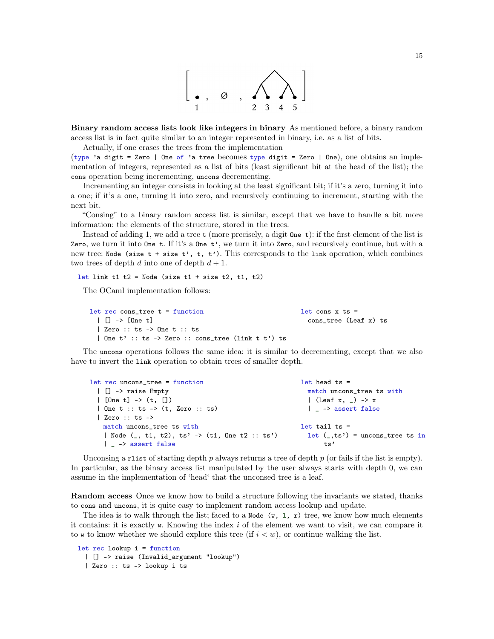

Binary random access lists look like integers in binary As mentioned before, a binary random access list is in fact quite similar to an integer represented in binary, i.e. as a list of bits.

Actually, if one erases the trees from the implementation

(type 'a digit = Zero | One of 'a tree becomes type digit = Zero | One), one obtains an implementation of integers, represented as a list of bits (least significant bit at the head of the list); the cons operation being incrementing, uncons decrementing.

Incrementing an integer consists in looking at the least significant bit; if it's a zero, turning it into a one; if it's a one, turning it into zero, and recursively continuing to increment, starting with the next bit.

"Consing" to a binary random access list is similar, except that we have to handle a bit more information: the elements of the structure, stored in the trees.

Instead of adding 1, we add a tree  $t$  (more precisely, a digit  $\Omega$  one  $t$ ): if the first element of the list is Zero, we turn it into One  $t$ . If it's a One  $t'$ , we turn it into Zero, and recursively continue, but with a new tree: Node (size  $t + size t'$ ,  $t$ ,  $t'$ ). This corresponds to the link operation, which combines two trees of depth  $d$  into one of depth  $d + 1$ .

let link t1 t2 = Node (size t1 + size t2, t1, t2)

The OCaml implementation follows:

| $let$ rec cons tree $t = function$               | let cons $x$ ts =     |
|--------------------------------------------------|-----------------------|
| $\Box$ $\Box$ $\rightarrow$ $\Box$ $\Box$ $\Box$ | cons tree (Leaf x) ts |
| Zero :: ts -> One t :: ts                        |                       |
| One t' :: ts -> Zero :: cons_tree (link t t') ts |                       |

The uncons operations follows the same idea: it is similar to decrementing, except that we also have to invert the link operation to obtain trees of smaller depth.

| let rec uncons_tree = function                    | $let$ head $ts =$                   |
|---------------------------------------------------|-------------------------------------|
| [] -> raise Empty                                 | match uncons_tree ts with           |
| $\lceil$ [One t] -> (t, [])                       | (Leaf x, $_{-}$ ) -> x              |
| $\vert$ One t :: ts -> $(t,$ Zero :: ts)          | -> assert false                     |
| $\vert$ Zero :: ts ->                             |                                     |
| match uncons_tree ts with                         | let tail ts $=$                     |
| Node $($ , t1, t2), ts' -> $(t1, 0n e t2 :: ts')$ | $let (-, ts') = uncons\_tree ts in$ |
| $\vert$ $\vert$ $\rightarrow$ assert false        | ts'                                 |

Unconsing a rlist of starting depth  $p$  always returns a tree of depth  $p$  (or fails if the list is empty). In particular, as the binary access list manipulated by the user always starts with depth 0, we can assume in the implementation of 'head' that the unconsed tree is a leaf.

Random access Once we know how to build a structure following the invariants we stated, thanks to cons and uncons, it is quite easy to implement random access lookup and update.

The idea is to walk through the list; faced to a Node  $(w, 1, r)$  tree, we know how much elements it contains: it is exactly  $\bf{w}$ . Knowing the index i of the element we want to visit, we can compare it to w to know whether we should explore this tree (if  $i < w$ ), or continue walking the list.

```
let rec lookup i = function
 | [] -> raise (Invalid_argument "lookup")
 | Zero :: ts -> lookup i ts
```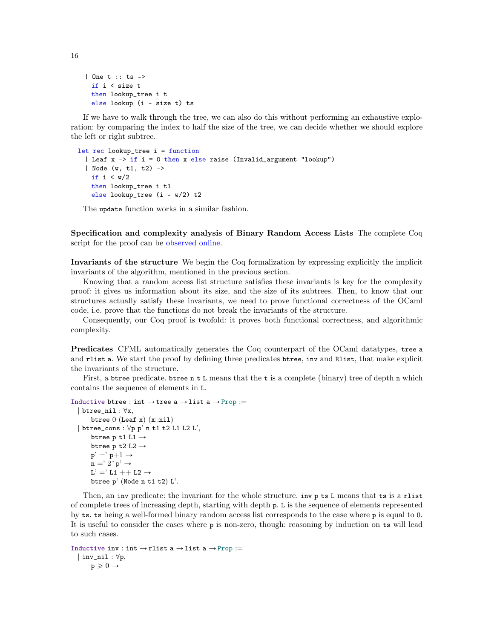```
| One t :: ts ->
 if i < size t
 then lookup_tree i t
 else lookup (i - size t) ts
```
If we have to walk through the tree, we can also do this without performing an exhaustive exploration: by comparing the index to half the size of the tree, we can decide whether we should explore the left or right subtree.

```
let rec lookup_tree i = function
  | Leaf x \rightarrow if i = 0 then x else raise (Invalid_argument "lookup")
  | Node (w, t1, t2) ->
   if i < w/2then lookup_tree i t1
   else lookup_tree (i - w/2) t2
```
The update function works in a similar fashion.

Specification and complexity analysis of Binary Random Access Lists The complete Coq script for the proof can be [observed online.](http://gallium.inria.fr/blog/formally-verified-complexity-with-cfml-part-3/BinaryRandomAccessList_proof.v)

Invariants of the structure We begin the Coq formalization by expressing explicitly the implicit invariants of the algorithm, mentioned in the previous section.

Knowing that a random access list structure satisfies these invariants is key for the complexity proof: it gives us information about its size, and the size of its subtrees. Then, to know that our structures actually satisfy these invariants, we need to prove functional correctness of the OCaml code, i.e. prove that the functions do not break the invariants of the structure.

Consequently, our Coq proof is twofold: it proves both functional correctness, and algorithmic complexity.

Predicates CFML automatically generates the Coq counterpart of the OCaml datatypes, tree a and rlist a. We start the proof by defining three predicates btree, inv and Rlist, that make explicit the invariants of the structure.

First, a btree predicate. btree n t L means that the t is a complete (binary) tree of depth n which contains the sequence of elements in L.

```
Inductive btree : int \rightarrow tree a \rightarrow list a \rightarrow Prop :=
  | btree_nil : \forall x,btree 0 (Leaf x) (x:=ni1)| btree_cons : \forall p p'n t1 t2 L1 L2 L',
        btree p t1 L1 \rightarrowbtree p t2 L2 \rightarrowp' =' p+1 \rightarrow\mathbf{n} = \mathbf{r} \cdot \mathbf{r} \cdot \mathbf{p}'L' =' L1 + + L2 \rightarrowbtree p' (Node n t1 t2) L'.
```
Then, an inv predicate: the invariant for the whole structure. inv p ts L means that ts is a rlist of complete trees of increasing depth, starting with depth p. L is the sequence of elements represented by ts. ts being a well-formed binary random access list corresponds to the case where p is equal to 0. It is useful to consider the cases where p is non-zero, though: reasoning by induction on ts will lead to such cases.

```
Inductive inv : int \rightarrow rlist a \rightarrow list a \rightarrow Prop :=
   | inv_nil : \forall p,p \geqslant 0 \rightarrow
```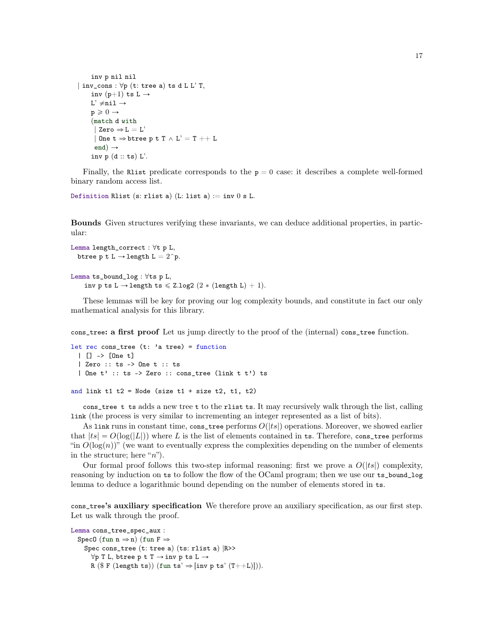```
inv p nil nil
| inv_cons : \forall p (t: tree a) ts d L L' T,
     inv (p+1) ts L \rightarrowL' \neqnil \rightarrowp \geqslant 0 \rightarrow(match d with
      | Zero \Rightarrow L = L'
      | One t \Rightarrow btree p t T \land L' = T ++ L
      end) \rightarrowinv p (d:: ts) L'.
```
Finally, the Rlist predicate corresponds to the  $p = 0$  case: it describes a complete well-formed binary random access list.

Definition Rlist (s: rlist a) (L: list a)  $:=$  inv 0 s L.

Bounds Given structures verifying these invariants, we can deduce additional properties, in particular:

```
Lemma length_correct : \forall t p L,
  btree p t L \rightarrow length L = 2^p.
```

```
Lemma ts_bound_log : \forallts p L,
    inv p ts L \rightarrow length ts \leq Z.log2 (2 * (length L) + 1).
```
These lemmas will be key for proving our log complexity bounds, and constitute in fact our only mathematical analysis for this library.

cons\_tree: a first proof Let us jump directly to the proof of the (internal) cons\_tree function.

```
let rec cons_tree (t: i tree) = function
 | [] -> [One t]
 | Zero :: ts -> One t :: ts
 | One t' :: ts -> Zero :: cons_tree (link t t') ts
and link t1 t2 = Node (size t1 + size t2, t1, t2)
```
cons\_tree t ts adds a new tree t to the rlist ts. It may recursively walk through the list, calling link (the process is very similar to incrementing an integer represented as a list of bits).

As link runs in constant time, cons\_tree performs  $O(|ts|)$  operations. Moreover, we showed earlier that  $|ts| = O(\log(|L|))$  where L is the list of elements contained in ts. Therefore, cons\_tree performs "in  $O(\log(n))$ " (we want to eventually express the complexities depending on the number of elements in the structure; here " $n$ ").

Our formal proof follows this two-step informal reasoning: first we prove a  $O(|ts|)$  complexity, reasoning by induction on ts to follow the flow of the OCaml program; then we use our ts\_bound\_log lemma to deduce a logarithmic bound depending on the number of elements stored in ts.

cons\_tree's auxiliary specification We therefore prove an auxiliary specification, as our first step. Let us walk through the proof.

```
Lemma cons_tree_spec_aux :
  SpecO (fun n \Rightarrow n) (fun F \RightarrowSpec cons_tree (t: tree a) (ts: rlist a) |R \rangle>>
       \forall p T L, btree p t T \rightarrow inv p ts L \rightarrowR ($ F (length ts)) (fun ts' \Rightarrow [inv p ts' (T++L)])).
```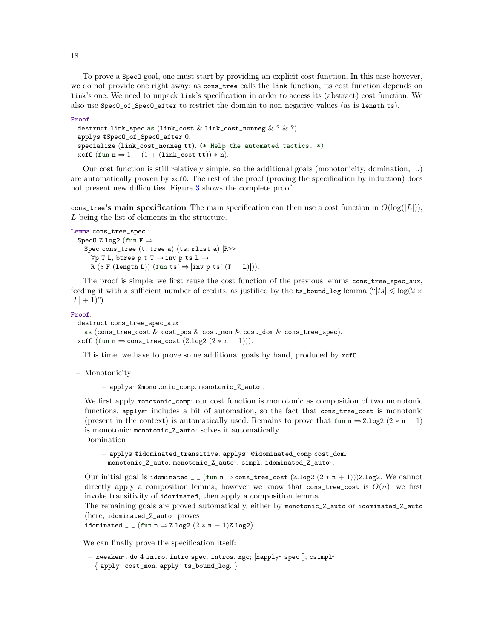To prove a SpecO goal, one must start by providing an explicit cost function. In this case however, we do not provide one right away: as cons\_tree calls the link function, its cost function depends on link's one. We need to unpack link's specification in order to access its (abstract) cost function. We also use SpecO\_of\_SpecO\_after to restrict the domain to non negative values (as is length ts).

```
Proof.
 destruct link_spec as (link_cost \& link_cost_nonneg \& ? \& ?).
 applys @SpecO_of_SpecO_after 0.
 specialize (link_cost_nonneg tt). (* Help the automated tactics. *)
 xcf0 (fun n \Rightarrow 1 + (1 + (link\_cost~tt)) * n).
```
Our cost function is still relatively simple, so the additional goals (monotonicity, domination, ...) are automatically proven by xcfO. The rest of the proof (proving the specification by induction) does not present new difficulties. Figure [3](#page-22-0) shows the complete proof.

cons\_tree's main specification The main specification can then use a cost function in  $O(\log(|L|))$ , L being the list of elements in the structure.

```
Lemma cons_tree_spec :
```

```
SpecO Z.log2 (fun F \RightarrowSpec cons_tree (t: tree a) (ts: rlist a) |R>>
     \forall p T L, btree p t T \rightarrow inv p ts L \rightarrowR ($ F (length L)) (fun ts' \Rightarrow [inv p ts' (T++L)])).
```
The proof is simple: we first reuse the cost function of the previous lemma cons\_tree\_spec\_aux, feeding it with a sufficient number of credits, as justified by the  $ts\_bound\_log$  lemma (" $|ts| \leq log(2 \times$  $|L| + 1$ ").

#### Proof.

```
destruct cons_tree_spec_aux
  as (cons_tree_cost \& cost_pos \& cost_mon \& cost_dom \& cons_tree_spec).
xcf0 (fun n \Rightarrow cons_tree_cost (Z.log2 (2 * n + 1))).
```
This time, we have to prove some additional goals by hand, produced by xcfO.

– Monotonicity

 $-$  applys<sup> $\sim$ </sup> @monotonic\_comp. monotonic\_Z\_auto $\sim$ .

We first apply monotonic\_comp: our cost function is monotonic as composition of two monotonic functions. applys~ includes a bit of automation, so the fact that cons\_tree\_cost is monotonic (present in the context) is automatically used. Remains to prove that fun  $n \Rightarrow Z.log2$  (2  $* n + 1$ ) is monotonic: monotonic\_Z\_auto˜ solves it automatically.

– Domination

- applys @idominated\_transitive. applys<sup>-</sup> @idominated\_comp cost\_dom. monotonic\_Z\_auto. monotonic\_Z\_auto˜ . simpl. idominated\_Z\_auto˜ .

Our initial goal is idominated \_ \_ (fun n  $\Rightarrow$  cons\_tree\_cost (Z.log2 (2 \* n + 1)))Z.log2. We cannot directly apply a composition lemma; however we know that cons\_tree\_cost is  $O(n)$ : we first invoke transitivity of idominated, then apply a composition lemma.

The remaining goals are proved automatically, either by monotonic\_Z\_auto or idominated\_Z\_auto (here, idominated\_Z\_auto˜ proves

idominated \_ \_ (fun n  $\Rightarrow$  Z.log2 (2 \* n + 1)Z.log2).

We can finally prove the specification itself:

```
- xweaken\cdot. do 4 intro. intro spec. intros. xgc; [xapply spec ]; csimpl\cdot.
  \{ apply\infty cost_mon. apply\infty ts_bound_log. \}
```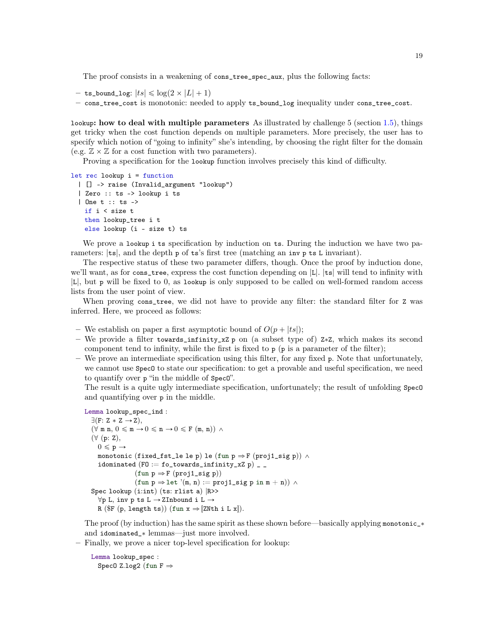The proof consists in a weakening of cons\_tree\_spec\_aux, plus the following facts:

- ts\_bound\_log:  $|ts| \leqslant \log(2 \times |L| + 1)$
- cons\_tree\_cost is monotonic: needed to apply ts\_bound\_log inequality under cons\_tree\_cost.

lookup: how to deal with multiple parameters As illustrated by challenge  $5$  (section [1.5\)](#page-3-2), things get tricky when the cost function depends on multiple parameters. More precisely, the user has to specify which notion of "going to infinity" she's intending, by choosing the right filter for the domain (e.g.  $\mathbb{Z} \times \mathbb{Z}$  for a cost function with two parameters).

Proving a specification for the lookup function involves precisely this kind of difficulty.

```
let rec lookup i = function
 | [] -> raise (Invalid_argument "lookup")
 | Zero :: ts -> lookup i ts
 | One t :: ts ->
   if i < size t
   then lookup_tree i t
   else lookup (i - size t) ts
```
We prove a lookup i ts specification by induction on ts. During the induction we have two parameters:  $|ts|$ , and the depth p of ts's first tree (matching an inv p ts L invariant).

The respective status of these two parameter differs, though. Once the proof by induction done, we'll want, as for cons\_tree, express the cost function depending on |L|. |ts| will tend to infinity with |L|, but p will be fixed to 0, as lookup is only supposed to be called on well-formed random access lists from the user point of view.

When proving cons\_tree, we did not have to provide any filter: the standard filter for Z was inferred. Here, we proceed as follows:

- We establish on paper a first asymptotic bound of  $O(p + |ts|)$ ;
- We provide a filter towards\_infinity\_xZ p on (a subset type of) Z\*Z, which makes its second component tend to infinity, while the first is fixed to  $p$  ( $p$  is a parameter of the filter);
- We prove an intermediate specification using this filter, for any fixed p. Note that unfortunately, we cannot use  $Spec0$  to state our specification: to get a provable and useful specification, we need to quantify over p "in the middle of SpecO".

The result is a quite ugly intermediate specification, unfortunately; the result of unfolding SpecO and quantifying over p in the middle.

```
Lemma lookup_spec_ind :
  \exists (F: Z * Z \rightarrow Z),(\forall \text{ m } n, 0 \leqslant m \rightarrow 0 \leqslant n \rightarrow 0 \leqslant F(m, n)) \wedge(\forall (p: Z),0 \leqslant p \rightarrowmonotonic (fixed_fst_le le p) le (fun p \Rightarrow F (proj1_sig p)) \landidominated (F0 := f0_ttowards_infinity_xZ p) _ _
                     (fun p \Rightarrow F (proj1\_sig p))(fun p \Rightarrow let ' (m, n) := proj1\_sig p in m + n)) \wedgeSpec lookup (i:int) (ts: rlist a) |R>>
     \forall p L, inv p ts L \rightarrow ZInbound i L \rightarrowR (\mathbb{F} (p, length ts)) (fun x \Rightarrow [ZNth i L x]).
```
The proof (by induction) has the same spirit as these shown before—basically applying monotonic<sub>-\*</sub> and idominated\_\* lemmas—just more involved.

– Finally, we prove a nicer top-level specification for lookup:

```
Lemma lookup_spec :
  SpecO Z.log2 (fun F \Rightarrow
```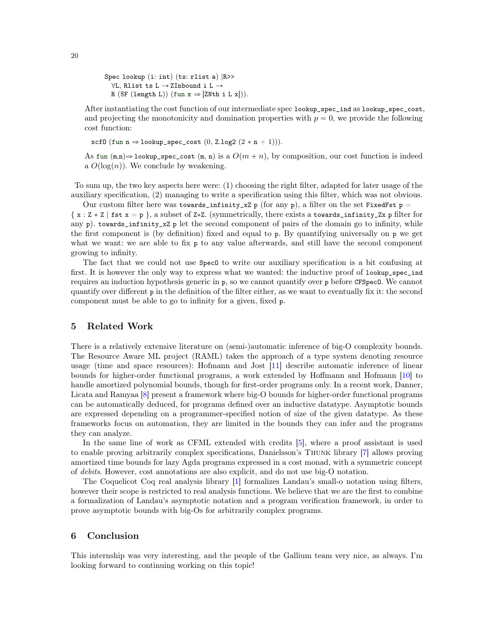```
Spec lookup (i: int) (ts: rlist a) |R>>
  \forall L, Rlist ts L \rightarrow ZInbound i L \rightarrowR (\mathbb{F} (length L)) (fun x \Rightarrow [ZNth i L x])).
```
After instantiating the cost function of our intermediate spec lookup\_spec\_ind as lookup\_spec\_cost, and projecting the monotonicity and domination properties with  $p = 0$ , we provide the following cost function:

xcf0 (fun n  $\Rightarrow$  lookup\_spec\_cost (0, Z.log2 (2 \* n + 1))).

As fun  $(m,n) \Rightarrow$  lookup\_spec\_cost  $(m, n)$  is a  $O(m + n)$ , by composition, our cost function is indeed a  $O(\log(n))$ . We conclude by weakening.

To sum up, the two key aspects here were: (1) choosing the right filter, adapted for later usage of the auxiliary specification, (2) managing to write a specification using this filter, which was not obvious.

Our custom filter here was towards\_infinity\_xZ p (for any p), a filter on the set FixedFst p =  $\{x : Z \times Z \mid \text{fst } x = p \}$ , a subset of  $Z \times Z$ . (symmetrically, there exists a towards\_infinity\_Zx p filter for any p), towards\_infinity\_xZ p let the second component of pairs of the domain go to infinity, while the first component is (by definition) fixed and equal to p. By quantifying universally on p we get what we want: we are able to fix p to any value afterwards, and still have the second component growing to infinity.

The fact that we could not use  $Spec0$  to write our auxiliary specification is a bit confusing at first. It is however the only way to express what we wanted: the inductive proof of lookup\_spec\_ind requires an induction hypothesis generic in p, so we cannot quantify over p before CFSpecO. We cannot quantify over different p in the definition of the filter either, as we want to eventually fix it: the second component must be able to go to infinity for a given, fixed p.

# 5 Related Work

There is a relatively extensive literature on (semi-)automatic inference of big-O complexity bounds. The Resource Aware ML project (RAML) takes the approach of a type system denoting resource usage (time and space resources): Hofmann and Jost [\[11\]](#page-20-11) describe automatic inference of linear bounds for higher-order functional programs, a work extended by Hoffmann and Hofmann [\[10\]](#page-20-0) to handle amortized polynomial bounds, though for first-order programs only. In a recent work, Danner, Licata and Ramyaa [\[8\]](#page-20-12) present a framework where big-O bounds for higher-order functional programs can be automatically deduced, for programs defined over an inductive datatype. Asymptotic bounds are expressed depending on a programmer-specified notion of size of the given datatype. As these frameworks focus on automation, they are limited in the bounds they can infer and the programs they can analyze.

In the same line of work as CFML extended with credits [\[5\]](#page-20-4), where a proof assistant is used to enable proving arbitrarily complex specifications, Danielsson's Thunk library [\[7\]](#page-20-1) allows proving amortized time bounds for lazy Agda programs expressed in a cost monad, with a symmetric concept of debits. However, cost annotations are also explicit, and do not use big-O notation.

The Coquelicot Coq real analysis library [\[1\]](#page-20-9) formalizes Landau's small-o notation using filters, however their scope is restricted to real analysis functions. We believe that we are the first to combine a formalization of Landau's asymptotic notation and a program verification framework, in order to prove asymptotic bounds with big-Os for arbitrarily complex programs.

# 6 Conclusion

This internship was very interesting, and the people of the Gallium team very nice, as always. I'm looking forward to continuing working on this topic!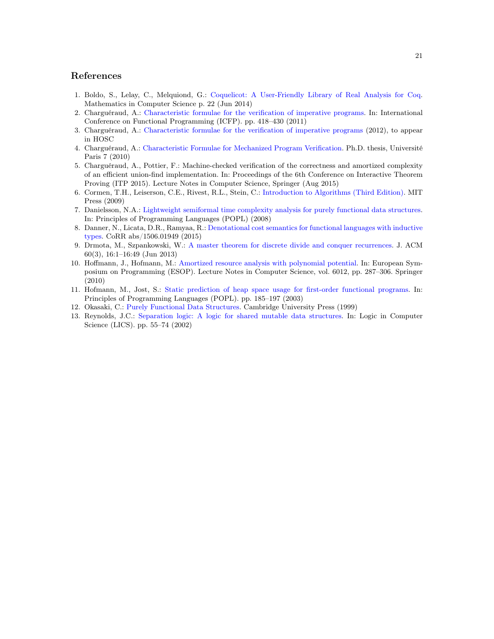# References

- <span id="page-20-9"></span>1. Boldo, S., Lelay, C., Melquiond, G.: [Coquelicot: A User-Friendly Library of Real Analysis for Coq.](https://hal.inria.fr/hal-00860648) Mathematics in Computer Science p. 22 (Jun 2014)
- <span id="page-20-8"></span>2. Charguéraud, A.: [Characteristic formulae for the verification of imperative programs.](http://www.chargueraud.org/research/2011/cfml/main.pdf) In: International Conference on Functional Programming (ICFP). pp. 418–430 (2011)
- <span id="page-20-3"></span>3. Charguéraud, A.: [Characteristic formulae for the verification of imperative programs](http://www.chargueraud.org/research/2013/cf/cf.pdf) (2012), to appear in HOSC
- <span id="page-20-2"></span>4. Charguéraud, A.: [Characteristic Formulae for Mechanized Program Verification.](http://www.chargueraud.org/arthur/research/2010/thesis/) Ph.D. thesis, Université Paris 7 (2010)
- <span id="page-20-4"></span>5. Charguéraud, A., Pottier, F.: Machine-checked verification of the correctness and amortized complexity of an efficient union-find implementation. In: Proceedings of the 6th Conference on Interactive Theorem Proving (ITP 2015). Lecture Notes in Computer Science, Springer (Aug 2015)
- <span id="page-20-5"></span>6. Cormen, T.H., Leiserson, C.E., Rivest, R.L., Stein, C.: [Introduction to Algorithms \(Third Edition\).](http://mitpress.mit.edu/catalog/item/ default.asp?ttype=2&tid=11866) MIT Press (2009)
- <span id="page-20-1"></span>7. Danielsson, N.A.: [Lightweight semiformal time complexity analysis for purely functional data structures.](http://www.cse.chalmers.se/~nad/publications/danielsson-popl2008.pdf) In: Principles of Programming Languages (POPL) (2008)
- <span id="page-20-12"></span>8. Danner, N., Licata, D.R., Ramyaa, R.: [Denotational cost semantics for functional languages with inductive](http://arxiv.org/abs/1506.01949) [types.](http://arxiv.org/abs/1506.01949) CoRR abs/1506.01949 (2015)
- <span id="page-20-6"></span>9. Drmota, M., Szpankowski, W.: [A master theorem for discrete divide and conquer recurrences.](http://doi.acm.org/10.1145/2487241.2487242) J. ACM 60(3), 16:1–16:49 (Jun 2013)
- <span id="page-20-0"></span>10. Hoffmann, J., Hofmann, M.: [Amortized resource analysis with polynomial potential.](http://www.cs.yale.edu/homes/hoffmann/papers/aapoly_conference.pdf) In: European Symposium on Programming (ESOP). Lecture Notes in Computer Science, vol. 6012, pp. 287–306. Springer (2010)
- <span id="page-20-11"></span>11. Hofmann, M., Jost, S.: [Static prediction of heap space usage for first-order functional programs.](http://www2.tcs.ifi.lmu.de/~jost/research/POPL_2003_Jost_Hofmann.pdf) In: Principles of Programming Languages (POPL). pp. 185–197 (2003)
- <span id="page-20-10"></span>12. Okasaki, C.: [Purely Functional Data Structures.](http://www.cambridge.org/us/catalogue/catalogue.asp?isbn=0521663504) Cambridge University Press (1999)
- <span id="page-20-7"></span>13. Reynolds, J.C.: [Separation logic: A logic for shared mutable data structures.](http://www.cs.cmu.edu/~jcr/seplogic.pdf) In: Logic in Computer Science (LICS). pp. 55–74 (2002)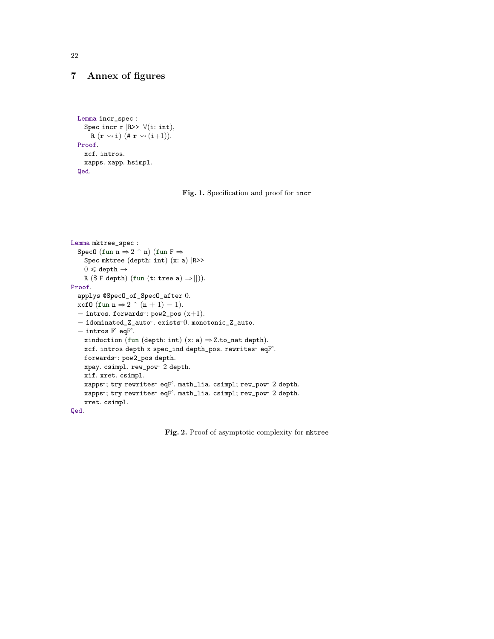# 7 Annex of figures

```
Lemma incr_spec :
  Spec incr r |R>> \forall(i: int),
    R(r \rightsquigarrow i) (\# r \rightsquigarrow (i+1)).Proof.
  xcf. intros.
  xapps. xapp. hsimpl.
Qed.
```


```
Lemma mktree_spec :
  Spec0 (fun n \Rightarrow 2 ^ n) (fun F \RightarrowSpec mktree (depth: int) (x: a) |R>>
    0 \leqslant depth \rightarrowR ($ F depth) (fun (t: tree a) \Rightarrow [])).
Proof.
  applys @SpecO_of_SpecO_after 0.
  xcf0 (fun n \Rightarrow 2 \hat{ } (n + 1) - 1).
  - intros. forwards\cdot: pow2_pos (x+1).
  - idominated_Z_auto\sim. exists\sim0. monotonic_Z_auto.
  - intros F' eqF'.
    xinduction (fun (depth: int) (x: a) \Rightarrow Z.to_nat depth).
    xcf. intros depth x spec_ind depth_pos. rewrites~ eqF'.
     forwards˜
: pow2_pos depth.
     xpay. csimpl. rew_pow˜
2 depth.
    xif. xret. csimpl.
     xapps˜
; try rewrites˜ eqF'. math_lia. csimpl; rew_pow˜
2 depth.
     xapps˜
; try rewrites˜ eqF'. math_lia. csimpl; rew_pow˜
2 depth.
    xret. csimpl.
```
<span id="page-21-1"></span>Qed.

Fig. 2. Proof of asymptotic complexity for mktree